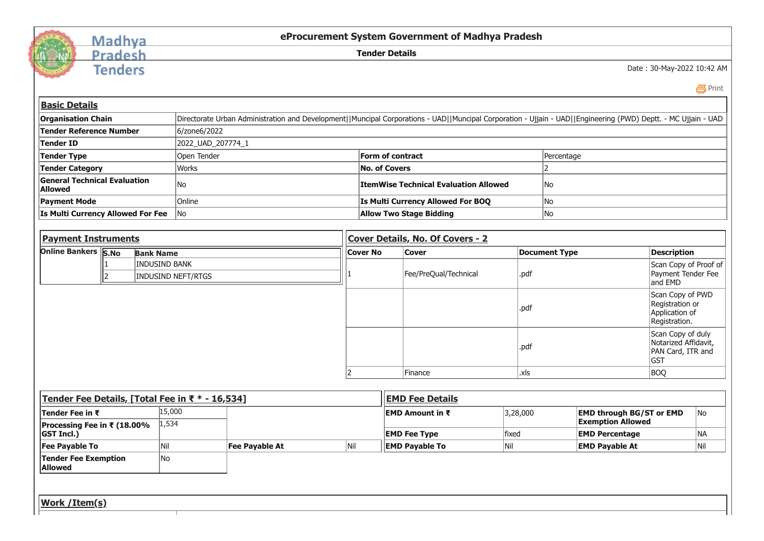

## Madhya<br>Pradesh

**Tenders** 

**eProcurement System Government of Madhya Pradesh**

**Tender Details**

Date : 30-May-2022 10:42 AM

*A* [Print](javascript:void(0);)

| <b>Basic Details</b><br><b>Organisation Chain</b>     |                |                      |                           | Directorate Urban Administration and Development  Muncipal Corporations - UAD  Muncipal Corporation - Ujjain - UAD  Engineering (PWD) Deptt. - MC Ujjain - UAD |     |                                   |                                              |              |                                                   |                                                                                                                                                        |                                                        |  |  |
|-------------------------------------------------------|----------------|----------------------|---------------------------|----------------------------------------------------------------------------------------------------------------------------------------------------------------|-----|-----------------------------------|----------------------------------------------|--------------|---------------------------------------------------|--------------------------------------------------------------------------------------------------------------------------------------------------------|--------------------------------------------------------|--|--|
| <b>Tender Reference Number</b>                        |                |                      | 6/zone6/2022              |                                                                                                                                                                |     |                                   |                                              |              |                                                   |                                                                                                                                                        |                                                        |  |  |
| <b>Tender ID</b>                                      |                |                      | 2022_UAD_207774_1         |                                                                                                                                                                |     |                                   |                                              |              |                                                   |                                                                                                                                                        |                                                        |  |  |
| <b>Tender Type</b>                                    |                |                      | Open Tender               |                                                                                                                                                                |     | Form of contract                  |                                              |              | Percentage                                        |                                                                                                                                                        |                                                        |  |  |
| <b>Tender Category</b>                                |                |                      | <b>Works</b>              |                                                                                                                                                                |     | <b>No. of Covers</b>              |                                              |              | $\overline{2}$                                    |                                                                                                                                                        |                                                        |  |  |
| <b>General Technical Evaluation</b><br><b>Allowed</b> |                |                      | No                        |                                                                                                                                                                |     |                                   | <b>ItemWise Technical Evaluation Allowed</b> |              | No                                                |                                                                                                                                                        |                                                        |  |  |
| <b>Payment Mode</b>                                   |                |                      | Online                    |                                                                                                                                                                |     | Is Multi Currency Allowed For BOQ |                                              |              | No                                                |                                                                                                                                                        |                                                        |  |  |
| Is Multi Currency Allowed For Fee                     |                |                      | No                        |                                                                                                                                                                |     |                                   | <b>Allow Two Stage Bidding</b>               |              | No                                                |                                                                                                                                                        |                                                        |  |  |
| <b>Payment Instruments</b>                            |                |                      |                           |                                                                                                                                                                |     |                                   | Cover Details, No. Of Covers - 2             |              |                                                   |                                                                                                                                                        |                                                        |  |  |
| <b>Online Bankers S.No</b>                            |                | <b>Bank Name</b>     |                           |                                                                                                                                                                |     | <b>Cover No</b>                   | <b>Cover</b>                                 |              | <b>Document Type</b>                              | <b>Description</b>                                                                                                                                     |                                                        |  |  |
|                                                       | $\overline{2}$ | <b>INDUSIND BANK</b> | <b>INDUSIND NEFT/RTGS</b> |                                                                                                                                                                |     |                                   | Fee/PreQual/Technical                        | .pdf         |                                                   |                                                                                                                                                        | Scan Copy of Proof of<br>Payment Tender Fee<br>and EMD |  |  |
|                                                       |                |                      |                           |                                                                                                                                                                |     |                                   |                                              | .pdf<br>.pdf |                                                   | Scan Copy of PWD<br>Registration or<br>Application of<br>Registration.<br>Scan Copy of duly<br>Notarized Affidavit,<br>PAN Card, ITR and<br><b>GST</b> |                                                        |  |  |
|                                                       |                |                      |                           |                                                                                                                                                                |     |                                   | Finance                                      | .xls         |                                                   | <b>BOQ</b>                                                                                                                                             |                                                        |  |  |
| Tender Fee Details, [Total Fee in ₹ * - 16,534]       |                |                      |                           |                                                                                                                                                                |     |                                   | <b>EMD Fee Details</b>                       |              |                                                   |                                                                                                                                                        |                                                        |  |  |
| Tender Fee in ₹                                       |                | 15,000               |                           |                                                                                                                                                                |     |                                   | <b>EMD Amount in ₹</b>                       | 3,28,000     |                                                   | <b>EMD through BG/ST or EMD</b>                                                                                                                        | No                                                     |  |  |
| Processing Fee in ₹ (18.00%<br><b>GST Incl.)</b>      |                | 1,534                |                           |                                                                                                                                                                |     |                                   | <b>EMD Fee Type</b>                          | fixed        | <b>Exemption Allowed</b><br><b>EMD Percentage</b> |                                                                                                                                                        | <b>NA</b>                                              |  |  |
| <b>Fee Payable To</b>                                 |                | Nil                  |                           | Fee Payable At                                                                                                                                                 | Nil |                                   | <b>EMD Payable To</b>                        | Nil          | <b>EMD Payable At</b>                             |                                                                                                                                                        | Nil                                                    |  |  |
| <b>Tender Fee Exemption</b><br><b>Allowed</b>         |                | No                   |                           |                                                                                                                                                                |     |                                   |                                              |              |                                                   |                                                                                                                                                        |                                                        |  |  |
| <b>Work / Item(s)</b>                                 |                |                      |                           |                                                                                                                                                                |     |                                   |                                              |              |                                                   |                                                                                                                                                        |                                                        |  |  |